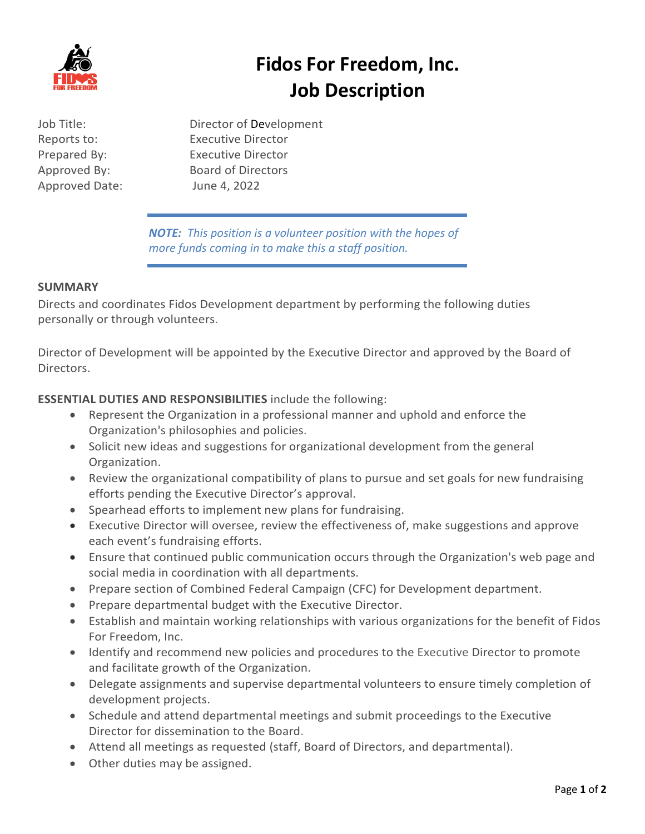

# **Fidos For Freedom, Inc. Job Description**

Approved Date: June 4, 2022

Job Title: Director of Development Reports to: Executive Director Prepared By: Executive Director Approved By: Board of Directors

> *NOTE: This position is a volunteer position with the hopes of more funds coming in to make this a staff position.*

# **SUMMARY**

Directs and coordinates Fidos Development department by performing the following duties personally or through volunteers.

Director of Development will be appointed by the Executive Director and approved by the Board of Directors.

**ESSENTIAL DUTIES AND RESPONSIBILITIES** include the following:

- Represent the Organization in a professional manner and uphold and enforce the Organization's philosophies and policies.
- Solicit new ideas and suggestions for organizational development from the general Organization.
- Review the organizational compatibility of plans to pursue and set goals for new fundraising efforts pending the Executive Director's approval.
- Spearhead efforts to implement new plans for fundraising.
- Executive Director will oversee, review the effectiveness of, make suggestions and approve each event's fundraising efforts.
- Ensure that continued public communication occurs through the Organization's web page and social media in coordination with all departments.
- Prepare section of Combined Federal Campaign (CFC) for Development department.
- Prepare departmental budget with the Executive Director.
- Establish and maintain working relationships with various organizations for the benefit of Fidos For Freedom, Inc.
- Identify and recommend new policies and procedures to the Executive Director to promote and facilitate growth of the Organization.
- Delegate assignments and supervise departmental volunteers to ensure timely completion of development projects.
- Schedule and attend departmental meetings and submit proceedings to the Executive Director for dissemination to the Board.
- Attend all meetings as requested (staff, Board of Directors, and departmental).
- Other duties may be assigned.